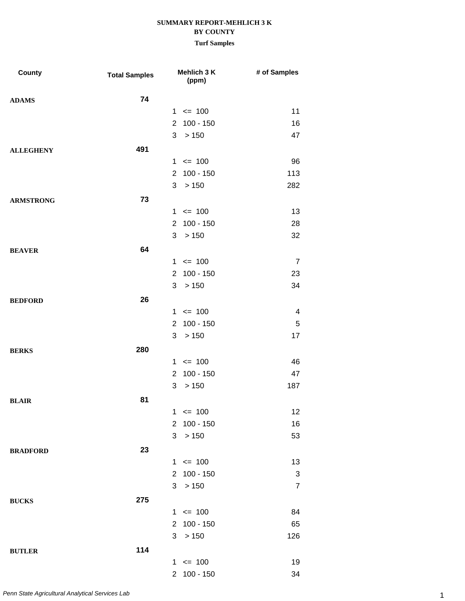| County           | <b>Total Samples</b> |                | Mehlich 3 K<br>(ppm) | # of Samples   |
|------------------|----------------------|----------------|----------------------|----------------|
| <b>ADAMS</b>     | 74                   |                |                      |                |
|                  |                      |                | $1 \le 100$          | 11             |
|                  |                      |                | 2 100 - 150          | 16             |
|                  |                      | 3              | >150                 | 47             |
| <b>ALLEGHENY</b> | 491                  |                |                      |                |
|                  |                      |                | $1 \le 100$          | 96             |
|                  |                      |                | 2 100 - 150          | 113            |
|                  |                      | 3 <sup>1</sup> | > 150                | 282            |
| <b>ARMSTRONG</b> | 73                   |                |                      |                |
|                  |                      |                | $1 \le 100$          | 13             |
|                  |                      | $\overline{2}$ | $100 - 150$          | 28             |
|                  |                      | 3              | >150                 | 32             |
| <b>BEAVER</b>    | 64                   |                |                      |                |
|                  |                      |                | $1 \le 100$          | $\overline{7}$ |
|                  |                      |                | 2 100 - 150          | 23             |
|                  |                      | 3 <sup>1</sup> | > 150                | 34             |
| <b>BEDFORD</b>   | 26                   |                |                      |                |
|                  |                      |                | $1 \le 100$          | 4              |
|                  |                      | $\overline{2}$ | $100 - 150$          | $\sqrt{5}$     |
|                  |                      | 3              | >150                 | 17             |
| <b>BERKS</b>     | 280                  |                |                      |                |
|                  |                      |                | $1 \le 100$          | 46             |
|                  |                      | $\overline{2}$ | $100 - 150$          | 47             |
|                  |                      | 3              | > 150                | 187            |
| <b>BLAIR</b>     | 81                   |                |                      |                |
|                  |                      |                | $1 \le 100$          | 12             |
|                  |                      |                | 2 100 - 150          | 16             |
|                  |                      | 3 <sup>1</sup> | > 150                | 53             |
| <b>BRADFORD</b>  | 23                   |                |                      |                |
|                  |                      |                | $1 \le 100$          | 13             |
|                  |                      |                | 2 100 - 150          | 3              |
|                  |                      | 3 <sup>1</sup> | > 150                | $\overline{7}$ |
| <b>BUCKS</b>     | 275                  |                |                      |                |
|                  |                      |                | $1 \le 100$          | 84             |
|                  |                      |                | 2 100 - 150          | 65             |
|                  |                      |                | 3 > 150              | 126            |
| <b>BUTLER</b>    | 114                  |                |                      |                |
|                  |                      |                | $1 \le 100$          | 19             |
|                  |                      |                | 2 100 - 150          | 34             |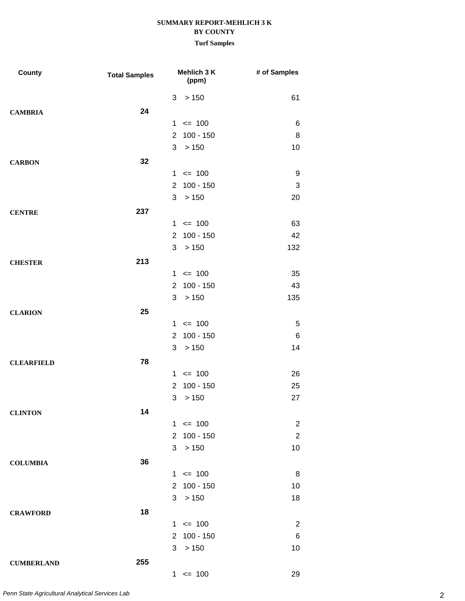| County            | <b>Total Samples</b> | Mehlich 3 K<br>(ppm)          | # of Samples   |
|-------------------|----------------------|-------------------------------|----------------|
|                   |                      | > 150<br>3                    | 61             |
| <b>CAMBRIA</b>    | 24                   |                               |                |
|                   |                      | $\leq$ 100<br>$\mathbf{1}$    | 6              |
|                   |                      | $100 - 150$<br>2              | 8              |
|                   |                      | 3<br>> 150                    | 10             |
| <b>CARBON</b>     | 32                   |                               |                |
|                   |                      | $1 \le 100$                   | 9              |
|                   |                      | $\overline{2}$<br>$100 - 150$ | 3              |
|                   |                      | > 150<br>3                    | 20             |
| <b>CENTRE</b>     | 237                  |                               |                |
|                   |                      | $1 \le 100$                   | 63             |
|                   |                      | $100 - 150$<br>$\overline{2}$ | 42             |
|                   |                      | 3<br>> 150                    | 132            |
| <b>CHESTER</b>    | 213                  |                               |                |
|                   |                      | $1 \le 100$                   | 35             |
|                   |                      | $\overline{2}$<br>$100 - 150$ | 43             |
|                   |                      | > 150<br>3                    | 135            |
| <b>CLARION</b>    | 25                   |                               |                |
|                   |                      | $1 \le 100$                   | 5              |
|                   |                      | $100 - 150$<br>2              | 6              |
|                   |                      | 3<br>> 150                    | 14             |
| <b>CLEARFIELD</b> | 78                   |                               |                |
|                   |                      | $1 \le 100$                   | 26             |
|                   |                      | $\overline{2}$<br>$100 - 150$ | 25             |
|                   |                      | > 150<br>3                    | 27             |
| <b>CLINTON</b>    | 14                   |                               |                |
|                   |                      | $1 \le 100$                   | $\overline{2}$ |
|                   |                      | $\overline{2}$<br>$100 - 150$ | $\overline{2}$ |
|                   |                      | > 150<br>3                    | 10             |
| <b>COLUMBIA</b>   | 36                   |                               |                |
|                   |                      | $1 \le 100$                   | 8              |
|                   |                      | $100 - 150$<br>$\overline{2}$ | 10             |
|                   |                      | >150<br>3                     | 18             |
| <b>CRAWFORD</b>   | 18                   |                               |                |
|                   |                      | $1 \le 100$                   | $\overline{2}$ |
|                   |                      | $100 - 150$<br>$\overline{2}$ | 6              |
|                   |                      | > 150<br>3                    | 10             |
| <b>CUMBERLAND</b> | 255                  |                               |                |
|                   |                      | $1 \le 100$                   | 29             |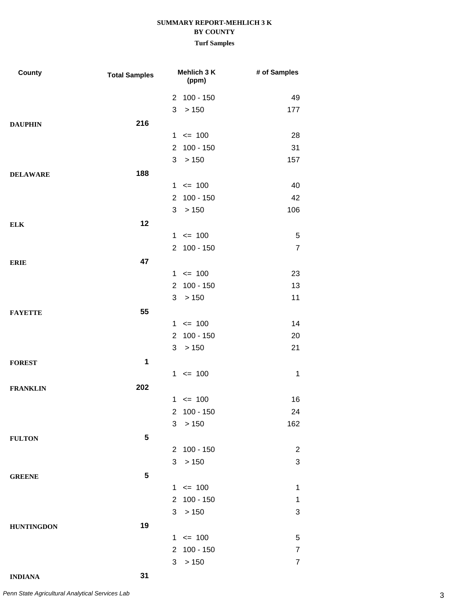| <b>County</b>     | <b>Total Samples</b> |                       | Mehlich 3 K<br>(ppm) | # of Samples              |
|-------------------|----------------------|-----------------------|----------------------|---------------------------|
|                   |                      |                       | 2 100 - 150          | 49                        |
|                   |                      | 3                     | > 150                | 177                       |
| <b>DAUPHIN</b>    | 216                  |                       |                      |                           |
|                   |                      |                       | $1 \le 100$          | 28                        |
|                   |                      | $\overline{2}$        | $100 - 150$          | 31                        |
|                   |                      | 3                     | > 150                | 157                       |
| <b>DELAWARE</b>   | 188                  |                       |                      |                           |
|                   |                      |                       | $1 \le 100$          | 40                        |
|                   |                      | $\overline{2}$        | $100 - 150$          | 42                        |
|                   |                      | 3                     | >150                 | 106                       |
| <b>ELK</b>        | 12                   |                       |                      |                           |
|                   |                      |                       | $1 \le 100$          | 5                         |
|                   |                      | $\overline{2}$        | $100 - 150$          | $\overline{7}$            |
| <b>ERIE</b>       | 47                   |                       |                      |                           |
|                   |                      |                       | $1 \le 100$          | 23                        |
|                   |                      | $\overline{2}$        | $100 - 150$          | 13                        |
|                   |                      | 3                     | > 150                | 11                        |
| <b>FAYETTE</b>    | 55                   |                       |                      |                           |
|                   |                      |                       | $1 \le 100$          | 14                        |
|                   |                      | $\overline{2}$        | 100 - 150            | 20                        |
|                   |                      | 3                     | >150                 | 21                        |
| <b>FOREST</b>     | 1                    |                       |                      |                           |
|                   |                      |                       | $1 \le 100$          | $\mathbf 1$               |
| <b>FRANKLIN</b>   | 202                  |                       |                      |                           |
|                   |                      |                       | $1 \le 100$          | 16                        |
|                   |                      | $\overline{2}$        | $100 - 150$          | 24                        |
|                   |                      | 3                     | > 150                | 162                       |
| <b>FULTON</b>     | 5                    |                       |                      |                           |
|                   |                      | $\mathbf{2}^{\prime}$ | $100 - 150$          | $\overline{2}$            |
|                   |                      | 3                     | >150                 | $\ensuremath{\mathsf{3}}$ |
| <b>GREENE</b>     | 5                    |                       |                      |                           |
|                   |                      |                       | $1 \le 100$          | 1                         |
|                   |                      | $\mathbf{2}^{\circ}$  | 100 - 150            | 1                         |
|                   |                      | 3                     | >150                 | 3                         |
| <b>HUNTINGDON</b> | 19                   |                       |                      |                           |
|                   |                      |                       | $1 \le 100$          | 5                         |
|                   |                      |                       | 2 100 - 150          | 7                         |
|                   |                      | 3                     | >150                 | $\overline{7}$            |
| <b>INDIANA</b>    | 31                   |                       |                      |                           |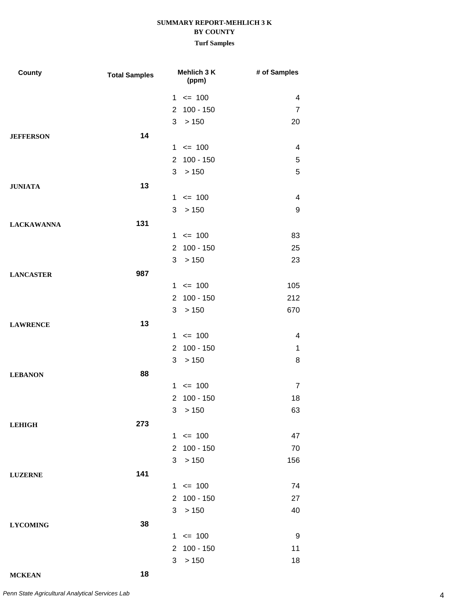| County            | <b>Total Samples</b> | <b>Mehlich 3 K</b><br>(ppm)       | # of Samples            |
|-------------------|----------------------|-----------------------------------|-------------------------|
|                   |                      | $1 \le 100$                       | 4                       |
|                   |                      | 2 100 - 150                       | $\overline{7}$          |
|                   |                      | 3<br>>150                         | 20                      |
| <b>JEFFERSON</b>  | 14                   |                                   |                         |
|                   |                      | $1 \le 100$                       | $\overline{\mathbf{4}}$ |
|                   |                      | $100 - 150$<br>$\overline{2}$     | 5                       |
|                   |                      | 3<br>> 150                        | 5                       |
| <b>JUNIATA</b>    | 13                   |                                   |                         |
|                   |                      | $1 \le 100$                       | $\overline{\mathbf{4}}$ |
|                   |                      | 3 > 150                           | 9                       |
| <b>LACKAWANNA</b> | 131                  |                                   |                         |
|                   |                      | $1 \le 100$                       | 83                      |
|                   |                      | 2 100 - 150                       | 25                      |
|                   |                      | >150<br>3                         | 23                      |
| <b>LANCASTER</b>  | 987                  |                                   |                         |
|                   |                      | $1 \le 100$                       | 105                     |
|                   |                      | 2 100 - 150                       | 212                     |
|                   |                      | 3 > 150                           | 670                     |
| <b>LAWRENCE</b>   | 13                   |                                   |                         |
|                   |                      | $1 \le 100$                       | 4                       |
|                   |                      | $100 - 150$<br>$\mathbf{2}$       | 1                       |
|                   |                      | >150<br>3                         | 8                       |
| <b>LEBANON</b>    | 88                   |                                   |                         |
|                   |                      | $1 \le 100$                       | $\overline{7}$          |
|                   |                      | $100 - 150$<br>$\overline{2}$     | 18                      |
|                   |                      | 3 > 150                           | 63                      |
| <b>LEHIGH</b>     | 273                  |                                   |                         |
|                   |                      | $1 \le 100$                       | 47                      |
|                   |                      | 2 100 - 150                       | 70                      |
|                   |                      | 3 > 150                           | 156                     |
| <b>LUZERNE</b>    | 141                  |                                   |                         |
|                   |                      | $1 \le 100$                       | 74                      |
|                   |                      | 2 100 - 150                       | 27                      |
|                   |                      | >150<br>3                         | 40                      |
| <b>LYCOMING</b>   | 38                   |                                   |                         |
|                   |                      | $1 \le 100$                       | 9                       |
|                   |                      | 100 - 150<br>$\mathbf{2}^{\circ}$ | 11                      |
|                   |                      | 3 > 150                           | 18                      |
|                   |                      |                                   |                         |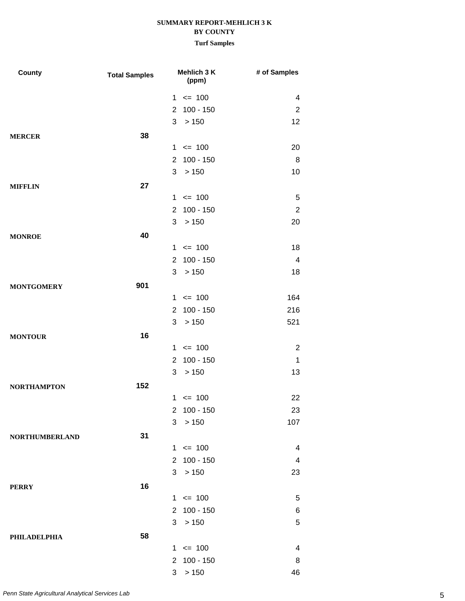| <b>County</b>         | <b>Total Samples</b> |                      | Mehlich 3 K<br>(ppm) | # of Samples   |
|-----------------------|----------------------|----------------------|----------------------|----------------|
|                       |                      | $1 \le 100$          |                      | 4              |
|                       |                      | $\mathbf{2}^{\circ}$ | $100 - 150$          | 2              |
|                       |                      | 3                    | >150                 | 12             |
| <b>MERCER</b>         | 38                   |                      |                      |                |
|                       |                      | $1 \le 100$          |                      | 20             |
|                       |                      | $\overline{2}$       | $100 - 150$          | 8              |
|                       |                      | 3                    | > 150                | 10             |
| <b>MIFFLIN</b>        | 27                   |                      |                      |                |
|                       |                      | $1 \le 100$          |                      | 5              |
|                       |                      |                      | 2 100 - 150          | $\overline{2}$ |
|                       |                      | 3                    | >150                 | 20             |
| <b>MONROE</b>         | 40                   |                      |                      |                |
|                       |                      | $1 \le 100$          |                      | 18             |
|                       |                      | $\overline{2}$       | $100 - 150$          | 4              |
|                       |                      | 3                    | > 150                | 18             |
| <b>MONTGOMERY</b>     | 901                  |                      |                      |                |
|                       |                      | $1 \le 100$          |                      | 164            |
|                       |                      |                      | 2 100 - 150          | 216            |
|                       |                      | 3                    | >150                 | 521            |
| <b>MONTOUR</b>        | 16                   |                      |                      |                |
|                       |                      | $1 \le 100$          |                      | $\overline{2}$ |
|                       |                      | 2                    | $100 - 150$          | $\mathbf{1}$   |
|                       |                      | 3                    | > 150                | 13             |
| <b>NORTHAMPTON</b>    | 152                  |                      |                      |                |
|                       |                      | $1 \le 100$          |                      | 22             |
|                       |                      |                      | 2 100 - 150          | 23             |
|                       |                      | 3 <sup>1</sup>       | > 150                | 107            |
| <b>NORTHUMBERLAND</b> | 31                   |                      |                      |                |
|                       |                      | $1 \le 100$          |                      | 4              |
|                       |                      |                      | 2 100 - 150          | 4              |
|                       |                      | 3 > 150              |                      | 23             |
| <b>PERRY</b>          | 16                   |                      |                      |                |
|                       |                      | $1 \le 100$          |                      | 5              |
|                       |                      |                      | 2 100 - 150          | 6              |
|                       |                      | 3 > 150              |                      | 5              |
| PHILADELPHIA          | 58                   |                      |                      |                |
|                       |                      | $1 \le 100$          |                      | 4              |
|                       |                      |                      | 2 100 - 150          | 8              |
|                       |                      | 3 > 150              |                      | 46             |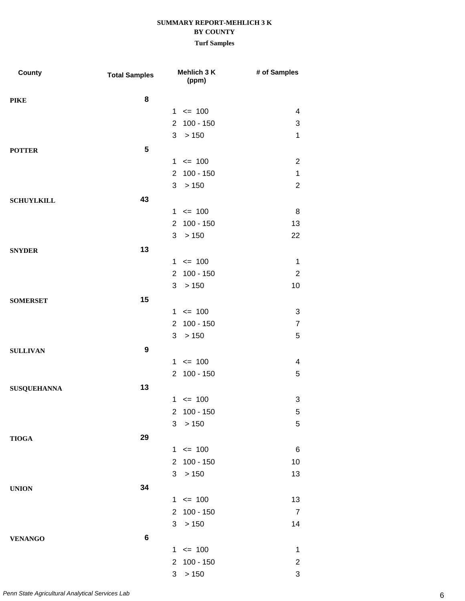| County             | <b>Total Samples</b> |                      | Mehlich 3 K<br>(ppm) | # of Samples              |
|--------------------|----------------------|----------------------|----------------------|---------------------------|
| <b>PIKE</b>        | 8                    |                      |                      |                           |
|                    |                      |                      | $1 \le 100$          | 4                         |
|                    |                      | $\overline{2}$       | $100 - 150$          | 3                         |
|                    |                      | 3                    | > 150                | $\mathbf{1}$              |
| <b>POTTER</b>      | 5                    |                      |                      |                           |
|                    |                      |                      | $1 \le 100$          | $\overline{2}$            |
|                    |                      |                      | 2 100 - 150          | 1                         |
|                    |                      | 3                    | >150                 | $\overline{2}$            |
| <b>SCHUYLKILL</b>  | 43                   |                      |                      |                           |
|                    |                      |                      | $1 \le 100$          | 8                         |
|                    |                      | $\overline{2}$       | $100 - 150$          | 13                        |
|                    |                      | 3                    | > 150                | 22                        |
| <b>SNYDER</b>      | 13                   |                      |                      |                           |
|                    |                      |                      | $1 \le 100$          | $\mathbf 1$               |
|                    |                      |                      | 2 100 - 150          | $\overline{2}$            |
|                    |                      | 3                    | >150                 | 10                        |
| <b>SOMERSET</b>    | 15                   |                      |                      |                           |
|                    |                      |                      | $1 \le 100$          | 3                         |
|                    |                      | $\overline{2}$       | $100 - 150$          | $\overline{7}$            |
|                    |                      | 3                    | > 150                | 5                         |
| <b>SULLIVAN</b>    | $\boldsymbol{9}$     |                      |                      |                           |
|                    |                      |                      | $1 \le 100$          | 4                         |
|                    |                      |                      | 2 100 - 150          | 5                         |
| <b>SUSQUEHANNA</b> | 13                   |                      |                      |                           |
|                    |                      |                      | $1 \le 100$          | 3                         |
|                    |                      | $\mathbf{2}$         | $100 - 150$          | $\sqrt{5}$                |
|                    |                      | 3                    | >150                 | 5                         |
| <b>TIOGA</b>       | 29                   |                      |                      |                           |
|                    |                      |                      | $1 \le 100$          | $\,6$                     |
|                    |                      |                      | 2 100 - 150          | 10                        |
|                    |                      | 3                    | >150                 | 13                        |
| <b>UNION</b>       | 34                   |                      |                      |                           |
|                    |                      |                      | $1 \le 100$          | 13                        |
|                    |                      | $\mathbf{2}^{\circ}$ | $100 - 150$          | $\overline{7}$            |
|                    |                      | 3                    | >150                 | 14                        |
| <b>VENANGO</b>     | $6\phantom{1}6$      |                      |                      |                           |
|                    |                      | $\mathbf{1}$         | $\leq$ 100           | 1                         |
|                    |                      | $\mathbf{2}$         | $100 - 150$          | $\overline{\mathbf{c}}$   |
|                    |                      | 3                    | > 150                | $\ensuremath{\mathsf{3}}$ |